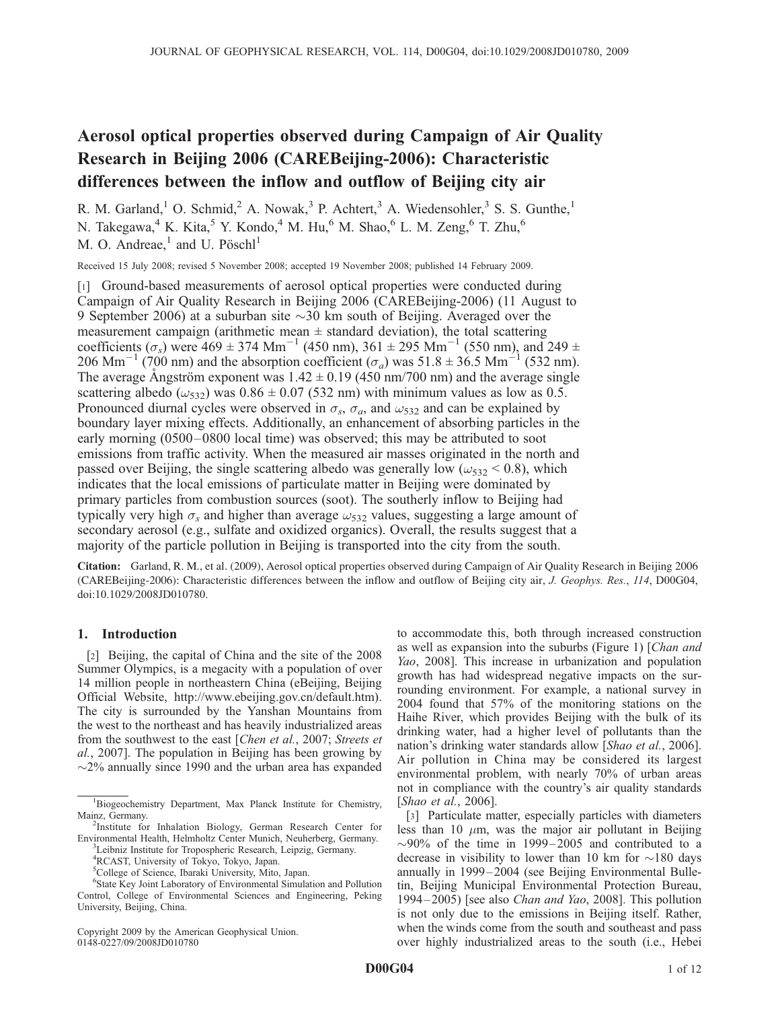# Aerosol optical properties observed during Campaign of Air Quality Research in Beijing 2006 (CAREBeijing-2006): Characteristic differences between the inflow and outflow of Beijing city air

R. M. Garland,<sup>1</sup> O. Schmid,<sup>2</sup> A. Nowak,<sup>3</sup> P. Achtert,<sup>3</sup> A. Wiedensohler,<sup>3</sup> S. S. Gunthe,<sup>1</sup> N. Takegawa,<sup>4</sup> K. Kita,<sup>5</sup> Y. Kondo,<sup>4</sup> M. Hu,<sup>6</sup> M. Shao,<sup>6</sup> L. M. Zeng,<sup>6</sup> T. Zhu,<sup>6</sup> M. O. Andreae, $^1$  and U. Pösch $l^1$ 

Received 15 July 2008; revised 5 November 2008; accepted 19 November 2008; published 14 February 2009.

[1] Ground-based measurements of aerosol optical properties were conducted during Campaign of Air Quality Research in Beijing 2006 (CAREBeijing-2006) (11 August to 9 September 2006) at a suburban site  $\sim$ 30 km south of Beijing. Averaged over the measurement campaign (arithmetic mean  $\pm$  standard deviation), the total scattering coefficients ( $\sigma_s$ ) were 469  $\pm$  374 Mm<sup>-1</sup> (450 nm), 361  $\pm$  295 Mm<sup>-1</sup> (550 nm), and 249  $\pm$ 206 Mm<sup>-1</sup> (700 nm) and the absorption coefficient ( $\sigma_a$ ) was 51.8 ± 36.5 Mm<sup>-1</sup> (532 nm). The average Angström exponent was  $1.42 \pm 0.19$  (450 nm/700 nm) and the average single scattering albedo ( $\omega_{532}$ ) was 0.86  $\pm$  0.07 (532 nm) with minimum values as low as 0.5. Pronounced diurnal cycles were observed in  $\sigma_s$ ,  $\sigma_a$ , and  $\omega_{532}$  and can be explained by boundary layer mixing effects. Additionally, an enhancement of absorbing particles in the early morning (0500–0800 local time) was observed; this may be attributed to soot emissions from traffic activity. When the measured air masses originated in the north and passed over Beijing, the single scattering albedo was generally low ( $\omega_{532}$  < 0.8), which indicates that the local emissions of particulate matter in Beijing were dominated by primary particles from combustion sources (soot). The southerly inflow to Beijing had typically very high  $\sigma_s$  and higher than average  $\omega_{532}$  values, suggesting a large amount of secondary aerosol (e.g., sulfate and oxidized organics). Overall, the results suggest that a majority of the particle pollution in Beijing is transported into the city from the south.

Citation: Garland, R. M., et al. (2009), Aerosol optical properties observed during Campaign of Air Quality Research in Beijing 2006 (CAREBeijing-2006): Characteristic differences between the inflow and outflow of Beijing city air, J. Geophys. Res., 114, D00G04, doi:10.1029/2008JD010780.

## 1. Introduction

[2] Beijing, the capital of China and the site of the 2008 Summer Olympics, is a megacity with a population of over 14 million people in northeastern China (eBeijing, Beijing Official Website, http://www.ebeijing.gov.cn/default.htm). The city is surrounded by the Yanshan Mountains from the west to the northeast and has heavily industrialized areas from the southwest to the east [Chen et al., 2007; Streets et al., 2007]. The population in Beijing has been growing by  $\sim$ 2% annually since 1990 and the urban area has expanded

Copyright 2009 by the American Geophysical Union. 0148-0227/09/2008JD010780

to accommodate this, both through increased construction as well as expansion into the suburbs (Figure 1) [Chan and Yao, 2008]. This increase in urbanization and population growth has had widespread negative impacts on the surrounding environment. For example, a national survey in 2004 found that 57% of the monitoring stations on the Haihe River, which provides Beijing with the bulk of its drinking water, had a higher level of pollutants than the nation's drinking water standards allow [Shao et al., 2006]. Air pollution in China may be considered its largest environmental problem, with nearly 70% of urban areas not in compliance with the country's air quality standards [Shao et al., 2006].

[3] Particulate matter, especially particles with diameters less than 10  $\mu$ m, was the major air pollutant in Beijing  $\sim$ 90% of the time in 1999–2005 and contributed to a decrease in visibility to lower than 10 km for  $\sim$ 180 days annually in 1999–2004 (see Beijing Environmental Bulletin, Beijing Municipal Environmental Protection Bureau, 1994– 2005) [see also Chan and Yao, 2008]. This pollution is not only due to the emissions in Beijing itself. Rather, when the winds come from the south and southeast and pass over highly industrialized areas to the south (i.e., Hebei

<sup>&</sup>lt;sup>1</sup>Biogeochemistry Department, Max Planck Institute for Chemistry, Mainz, Germany.

<sup>&</sup>lt;sup>2</sup>Institute for Inhalation Biology, German Research Center for Environmental Health, Helmholtz Center Munich, Neuherberg, Germany.

<sup>&</sup>lt;sup>3</sup>Leibniz Institute for Tropospheric Research, Leipzig, Germany. <sup>4</sup>RCAST, University of Tokyo, Tokyo, Japan.

<sup>5</sup>College of Science, Ibaraki University, Mito, Japan.

<sup>6</sup> State Key Joint Laboratory of Environmental Simulation and Pollution Control, College of Environmental Sciences and Engineering, Peking University, Beijing, China.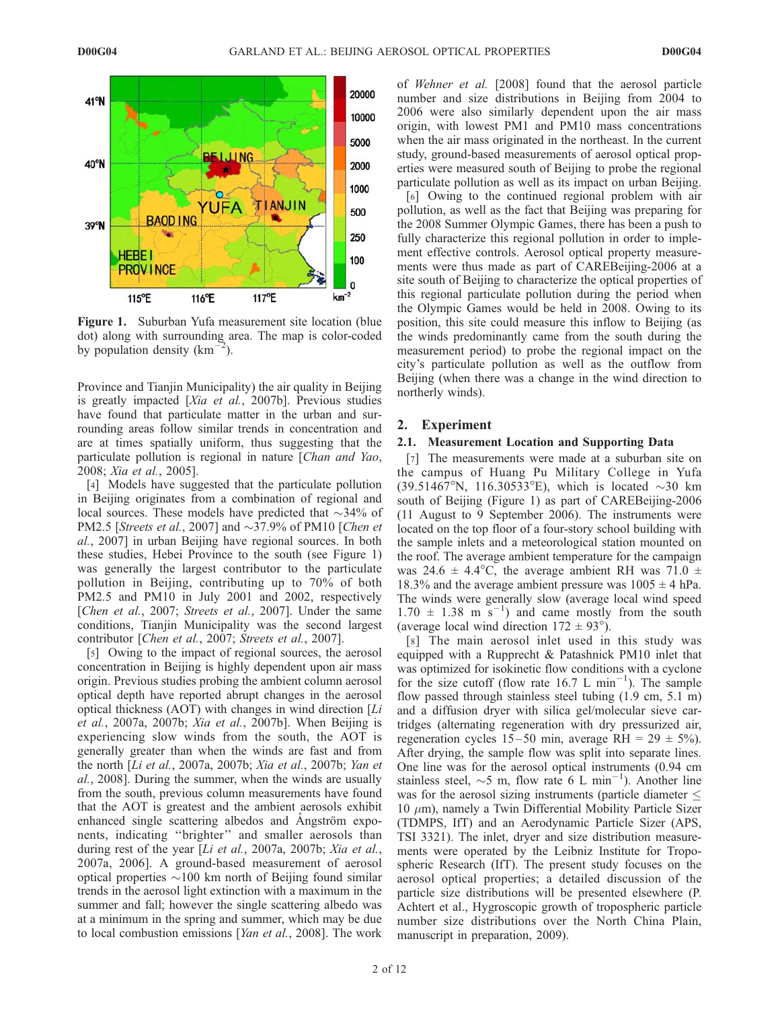

Figure 1. Suburban Yufa measurement site location (blue dot) along with surrounding area. The map is color-coded by population density (km- $\mathbf{r}$ ).

Province and Tianjin Municipality) the air quality in Beijing is greatly impacted [Xia et al., 2007b]. Previous studies have found that particulate matter in the urban and surrounding areas follow similar trends in concentration and are at times spatially uniform, thus suggesting that the particulate pollution is regional in nature [Chan and Yao, 2008; Xia et al., 2005].

[4] Models have suggested that the particulate pollution in Beijing originates from a combination of regional and local sources. These models have predicted that  $\sim$ 34% of PM2.5 [Streets et al., 2007] and  $\sim$ 37.9% of PM10 [Chen et al., 2007] in urban Beijing have regional sources. In both these studies, Hebei Province to the south (see Figure 1) was generally the largest contributor to the particulate pollution in Beijing, contributing up to 70% of both PM2.5 and PM10 in July 2001 and 2002, respectively [Chen et al., 2007; Streets et al., 2007]. Under the same conditions, Tianjin Municipality was the second largest contributor [Chen et al., 2007; Streets et al., 2007].

[5] Owing to the impact of regional sources, the aerosol concentration in Beijing is highly dependent upon air mass origin. Previous studies probing the ambient column aerosol optical depth have reported abrupt changes in the aerosol optical thickness (AOT) with changes in wind direction  $[Li]$ et al., 2007a, 2007b; Xia et al., 2007b]. When Beijing is experiencing slow winds from the south, the AOT is generally greater than when the winds are fast and from the north [Li et al., 2007a, 2007b; Xia et al., 2007b; Yan et al., 2008]. During the summer, when the winds are usually from the south, previous column measurements have found that the AOT is greatest and the ambient aerosols exhibit enhanced single scattering albedos and Angström exponents, indicating ''brighter'' and smaller aerosols than during rest of the year [Li et al., 2007a, 2007b; Xia et al., 2007a, 2006]. A ground-based measurement of aerosol optical properties  $\sim$ 100 km north of Beijing found similar trends in the aerosol light extinction with a maximum in the summer and fall; however the single scattering albedo was at a minimum in the spring and summer, which may be due to local combustion emissions [Yan et al., 2008]. The work

of Wehner et al. [2008] found that the aerosol particle number and size distributions in Beijing from 2004 to 2006 were also similarly dependent upon the air mass origin, with lowest PM1 and PM10 mass concentrations when the air mass originated in the northeast. In the current study, ground-based measurements of aerosol optical properties were measured south of Beijing to probe the regional particulate pollution as well as its impact on urban Beijing.

[6] Owing to the continued regional problem with air pollution, as well as the fact that Beijing was preparing for the 2008 Summer Olympic Games, there has been a push to fully characterize this regional pollution in order to implement effective controls. Aerosol optical property measurements were thus made as part of CAREBeijing-2006 at a site south of Beijing to characterize the optical properties of this regional particulate pollution during the period when the Olympic Games would be held in 2008. Owing to its position, this site could measure this inflow to Beijing (as the winds predominantly came from the south during the measurement period) to probe the regional impact on the city's particulate pollution as well as the outflow from Beijing (when there was a change in the wind direction to northerly winds).

## 2. Experiment

## 2.1. Measurement Location and Supporting Data

[7] The measurements were made at a suburban site on the campus of Huang Pu Military College in Yufa  $(39.51467^{\circ}N, 116.30533^{\circ}E)$ , which is located  $\sim$ 30 km south of Beijing (Figure 1) as part of CAREBeijing-2006 (11 August to 9 September 2006). The instruments were located on the top floor of a four-story school building with the sample inlets and a meteorological station mounted on the roof. The average ambient temperature for the campaign was 24.6  $\pm$  4.4°C, the average ambient RH was 71.0  $\pm$ 18.3% and the average ambient pressure was  $1005 \pm 4$  hPa. The winds were generally slow (average local wind speed  $1.70 \pm 1.38$  m s<sup>-1</sup>) and came mostly from the south (average local wind direction  $172 \pm 93^{\circ}$ ).

[8] The main aerosol inlet used in this study was equipped with a Rupprecht & Patashnick PM10 inlet that was optimized for isokinetic flow conditions with a cyclone for the size cutoff (flow rate  $16.7 \text{ L min}^{-1}$ ). The sample flow passed through stainless steel tubing (1.9 cm, 5.1 m) and a diffusion dryer with silica gel/molecular sieve cartridges (alternating regeneration with dry pressurized air, regeneration cycles  $15-50$  min, average RH =  $29 \pm 5\%$ ). After drying, the sample flow was split into separate lines. One line was for the aerosol optical instruments (0.94 cm stainless steel,  $\sim$ 5 m, flow rate 6 L min<sup>-1</sup>). Another line was for the aerosol sizing instruments (particle diameter  $\leq$  $10 \mu m$ ), namely a Twin Differential Mobility Particle Sizer (TDMPS, IfT) and an Aerodynamic Particle Sizer (APS, TSI 3321). The inlet, dryer and size distribution measurements were operated by the Leibniz Institute for Tropospheric Research (IfT). The present study focuses on the aerosol optical properties; a detailed discussion of the particle size distributions will be presented elsewhere (P. Achtert et al., Hygroscopic growth of tropospheric particle number size distributions over the North China Plain, manuscript in preparation, 2009).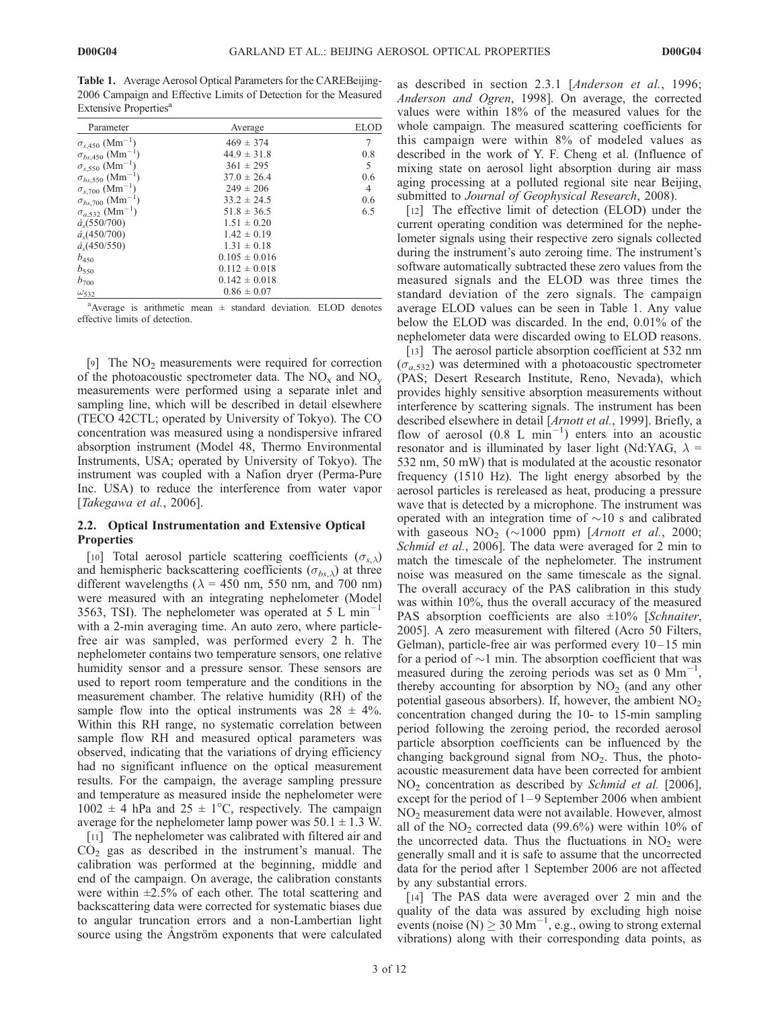Table 1. Average Aerosol Optical Parameters for the CAREBeijing-2006 Campaign and Effective Limits of Detection for the Measured Extensive Properties<sup>a</sup>

| Parameter                             | Average           |     |
|---------------------------------------|-------------------|-----|
| $\sigma_{s,450}$ (Mm <sup>-1</sup> )  | $469 \pm 374$     | 7   |
| $\sigma_{bs,450}$ (Mm <sup>-1</sup> ) | $44.9 \pm 31.8$   | 0.8 |
| $\sigma_{s,550}$ (Mm <sup>-1</sup> )  | $361 \pm 295$     | 5   |
| $\sigma_{bs,550}$ (Mm <sup>-</sup>    | $37.0 \pm 26.4$   | 0.6 |
| $\sigma_{s,700}$ (Mm <sup>-1</sup> )  | $249 \pm 206$     | 4   |
| $\sigma_{bs,700}$ (Mm <sup>-1</sup> ) | $33.2 \pm 24.5$   | 0.6 |
| $\sigma_{a,532}$ (Mm <sup>-1</sup> )  | $51.8 \pm 36.5$   | 6.5 |
| $\hat{a}_s(550/700)$                  | $1.51 \pm 0.20$   |     |
| $\hat{a}_s(450/700)$                  | $1.42 \pm 0.19$   |     |
| $\hat{a}_{s}(450/550)$                | $1.31 \pm 0.18$   |     |
| $b_{450}$                             | $0.105 \pm 0.016$ |     |
| $b_{550}$                             | $0.112 \pm 0.018$ |     |
| $b_{700}$                             | $0.142 \pm 0.018$ |     |
| $\omega_{532}$                        | $0.86 \pm 0.07$   |     |

<sup>a</sup>Average is arithmetic mean  $\pm$  standard deviation. ELOD denotes effective limits of detection.

[9] The  $NO<sub>2</sub>$  measurements were required for correction of the photoacoustic spectrometer data. The  $NO_x$  and  $NO_y$ measurements were performed using a separate inlet and sampling line, which will be described in detail elsewhere (TECO 42CTL; operated by University of Tokyo). The CO concentration was measured using a nondispersive infrared absorption instrument (Model 48, Thermo Environmental Instruments, USA; operated by University of Tokyo). The instrument was coupled with a Nafion dryer (Perma-Pure Inc. USA) to reduce the interference from water vapor [Takegawa et al., 2006].

## 2.2. Optical Instrumentation and Extensive Optical **Properties**

[10] Total aerosol particle scattering coefficients  $(\sigma_{s,\lambda})$ and hemispheric backscattering coefficients ( $\sigma_{bs,\lambda}$ ) at three different wavelengths ( $\lambda = 450$  nm, 550 nm, and 700 nm) were measured with an integrating nephelometer (Model 3563, TSI). The nephelometer was operated at  $5 \text{ L min}^-$ 1 with a 2-min averaging time. An auto zero, where particlefree air was sampled, was performed every 2 h. The nephelometer contains two temperature sensors, one relative humidity sensor and a pressure sensor. These sensors are used to report room temperature and the conditions in the measurement chamber. The relative humidity (RH) of the sample flow into the optical instruments was  $28 \pm 4\%$ . Within this RH range, no systematic correlation between sample flow RH and measured optical parameters was observed, indicating that the variations of drying efficiency had no significant influence on the optical measurement results. For the campaign, the average sampling pressure and temperature as measured inside the nephelometer were  $1002 \pm 4$  hPa and  $25 \pm 1$ °C, respectively. The campaign average for the nephelometer lamp power was  $50.1 \pm 1.3$  W.

[11] The nephelometer was calibrated with filtered air and  $CO<sub>2</sub>$  gas as described in the instrument's manual. The calibration was performed at the beginning, middle and end of the campaign. On average, the calibration constants were within  $\pm 2.5\%$  of each other. The total scattering and backscattering data were corrected for systematic biases due to angular truncation errors and a non-Lambertian light source using the Angström exponents that were calculated as described in section 2.3.1 [Anderson et al., 1996; Anderson and Ogren, 1998]. On average, the corrected values were within 18% of the measured values for the whole campaign. The measured scattering coefficients for this campaign were within 8% of modeled values as described in the work of Y. F. Cheng et al. (Influence of mixing state on aerosol light absorption during air mass aging processing at a polluted regional site near Beijing, submitted to Journal of Geophysical Research, 2008).

[12] The effective limit of detection (ELOD) under the current operating condition was determined for the nephelometer signals using their respective zero signals collected during the instrument's auto zeroing time. The instrument's software automatically subtracted these zero values from the measured signals and the ELOD was three times the standard deviation of the zero signals. The campaign average ELOD values can be seen in Table 1. Any value below the ELOD was discarded. In the end, 0.01% of the nephelometer data were discarded owing to ELOD reasons.

[13] The aerosol particle absorption coefficient at 532 nm  $(\sigma_{a,532})$  was determined with a photoacoustic spectrometer (PAS; Desert Research Institute, Reno, Nevada), which provides highly sensitive absorption measurements without interference by scattering signals. The instrument has been described elsewhere in detail [Arnott et al., 1999]. Briefly, a flow of aerosol  $(0.8 \text{ L min}^{-1})$  enters into an acoustic resonator and is illuminated by laser light (Nd:YAG,  $\lambda$  = 532 nm, 50 mW) that is modulated at the acoustic resonator frequency (1510 Hz). The light energy absorbed by the aerosol particles is rereleased as heat, producing a pressure wave that is detected by a microphone. The instrument was operated with an integration time of  $\sim$ 10 s and calibrated with gaseous  $NO<sub>2</sub>$  (~1000 ppm) [Arnott et al., 2000; Schmid et al., 2006]. The data were averaged for 2 min to match the timescale of the nephelometer. The instrument noise was measured on the same timescale as the signal. The overall accuracy of the PAS calibration in this study was within 10%, thus the overall accuracy of the measured PAS absorption coefficients are also  $\pm 10\%$  [Schnaiter, 2005]. A zero measurement with filtered (Acro 50 Filters, Gelman), particle-free air was performed every 10– 15 min for a period of  $\sim$ 1 min. The absorption coefficient that was measured during the zeroing periods was set as  $0 \text{ Mm}^{-1}$ , thereby accounting for absorption by  $NO<sub>2</sub>$  (and any other potential gaseous absorbers). If, however, the ambient  $NO<sub>2</sub>$ concentration changed during the 10- to 15-min sampling period following the zeroing period, the recorded aerosol particle absorption coefficients can be influenced by the changing background signal from  $NO<sub>2</sub>$ . Thus, the photoacoustic measurement data have been corrected for ambient NO<sup>2</sup> concentration as described by Schmid et al. [2006], except for the period of  $1-9$  September 2006 when ambient NO<sup>2</sup> measurement data were not available. However, almost all of the  $NO<sub>2</sub>$  corrected data (99.6%) were within 10% of the uncorrected data. Thus the fluctuations in  $NO<sub>2</sub>$  were generally small and it is safe to assume that the uncorrected data for the period after 1 September 2006 are not affected by any substantial errors.

[14] The PAS data were averaged over 2 min and the quality of the data was assured by excluding high noise events (noise (N)  $\geq 30$  Mm<sup>-1</sup>, e.g., owing to strong external vibrations) along with their corresponding data points, as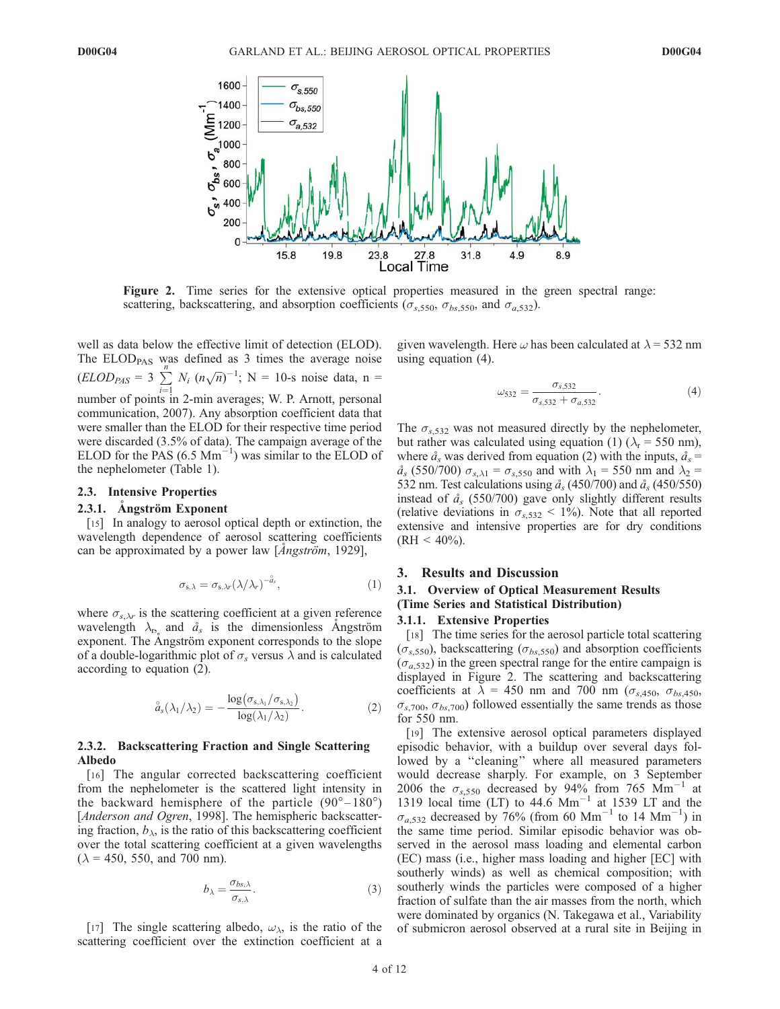

Figure 2. Time series for the extensive optical properties measured in the green spectral range: scattering, backscattering, and absorption coefficients ( $\sigma_{s,550}$ ,  $\sigma_{bs,550}$ , and  $\sigma_{a,532}$ ).

well as data below the effective limit of detection (ELOD). The  $ELOD<sub>PAS</sub>$  was defined as 3 times the average noise  $(ELOD<sub>PAS</sub> = 3 \sum_{n=1}^{n}$  $\frac{i-1}{i}$  $N_i$   $(n\sqrt{n})^{-1}$ ; N = 10-s noise data, n = number of points in 2-min averages; W. P. Arnott, personal communication, 2007). Any absorption coefficient data that were smaller than the ELOD for their respective time period were discarded (3.5% of data). The campaign average of the ELOD for the PAS  $(6.5 \text{ Mm}^{-1})$  was similar to the ELOD of the nephelometer (Table 1).

#### 2.3. Intensive Properties

# 2.3.1. Ångström Exponent

[15] In analogy to aerosol optical depth or extinction, the wavelength dependence of aerosol scattering coefficients can be approximated by a power law  $[Angstr\ddot{o}m, 1929]$ ,

$$
\sigma_{s,\lambda} = \sigma_{s,\lambda r} (\lambda/\lambda_r)^{-\hat{a}_s}, \qquad (1)
$$

where  $\sigma_{s,\lambda r}$  is the scattering coefficient at a given reference wavelength  $\lambda_{\mathbf{r}_s}$  and  $\mathring{a}_s$  is the dimensionless Angström exponent. The Angström exponent corresponds to the slope of a double-logarithmic plot of  $\sigma_s$  versus  $\lambda$  and is calculated according to equation (2).

$$
\overset{\circ}{a}_{s}(\lambda_{1}/\lambda_{2}) = -\frac{\log(\sigma_{s,\lambda_{1}}/\sigma_{s,\lambda_{2}})}{\log(\lambda_{1}/\lambda_{2})}.
$$
\n(2)

## 2.3.2. Backscattering Fraction and Single Scattering Albedo

[16] The angular corrected backscattering coefficient from the nephelometer is the scattered light intensity in the backward hemisphere of the particle  $(90^{\circ}-180^{\circ})$ [*Anderson and Ogren*, 1998]. The hemispheric backscattering fraction,  $b_{\lambda}$ , is the ratio of this backscattering coefficient over the total scattering coefficient at a given wavelengths  $(\lambda = 450, 550, \text{ and } 700 \text{ nm}).$ 

$$
b_{\lambda} = \frac{\sigma_{bs,\lambda}}{\sigma_{s,\lambda}}.\tag{3}
$$

[17] The single scattering albedo,  $\omega_{\lambda}$ , is the ratio of the scattering coefficient over the extinction coefficient at a

given wavelength. Here  $\omega$  has been calculated at  $\lambda$  = 532 nm using equation (4).

$$
\omega_{532} = \frac{\sigma_{s,532}}{\sigma_{s,532} + \sigma_{a,532}}.\tag{4}
$$

The  $\sigma_{s,532}$  was not measured directly by the nephelometer, but rather was calculated using equation (1) ( $\lambda_r$  = 550 nm), where  $\hat{a}_s$  was derived from equation (2) with the inputs,  $\hat{a}_s$  =  $\hat{a}_s$  (550/700)  $\sigma_{s,\lambda1} = \sigma_{s,550}$  and with  $\lambda_1 = 550$  nm and  $\lambda_2 =$ 532 nm. Test calculations using  $\hat{a}_s$  (450/700) and  $\hat{a}_s$  (450/550) instead of  $\hat{a}_s$  (550/700) gave only slightly different results (relative deviations in  $\sigma_{s,532}$  < 1%). Note that all reported extensive and intensive properties are for dry conditions  $(RH < 40\%).$ 

## 3. Results and Discussion

## 3.1. Overview of Optical Measurement Results (Time Series and Statistical Distribution)

#### 3.1.1. Extensive Properties

[18] The time series for the aerosol particle total scattering  $(\sigma_{s,550})$ , backscattering  $(\sigma_{bs,550})$  and absorption coefficients  $(\sigma_{a,532})$  in the green spectral range for the entire campaign is displayed in Figure 2. The scattering and backscattering coefficients at  $\overline{\lambda} = 450$  nm and 700 nm ( $\sigma_{s,450}$ ,  $\sigma_{bs,450}$ ,  $\sigma_{s,700}, \sigma_{bs,700}$  followed essentially the same trends as those for 550 nm.

[19] The extensive aerosol optical parameters displayed episodic behavior, with a buildup over several days followed by a ''cleaning'' where all measured parameters would decrease sharply. For example, on 3 September 2006 the  $\sigma_{s,550}$  decreased by 94% from 765 Mm<sup>-1</sup> at 1319 local time (LT) to  $44.6$  Mm<sup>-1</sup> at 1539 LT and the  $\sigma_{a,532}$  decreased by 76% (from 60 Mm<sup>-1</sup> to 14 Mm<sup>-1</sup>) in the same time period. Similar episodic behavior was observed in the aerosol mass loading and elemental carbon (EC) mass (i.e., higher mass loading and higher [EC] with southerly winds) as well as chemical composition; with southerly winds the particles were composed of a higher fraction of sulfate than the air masses from the north, which were dominated by organics (N. Takegawa et al., Variability of submicron aerosol observed at a rural site in Beijing in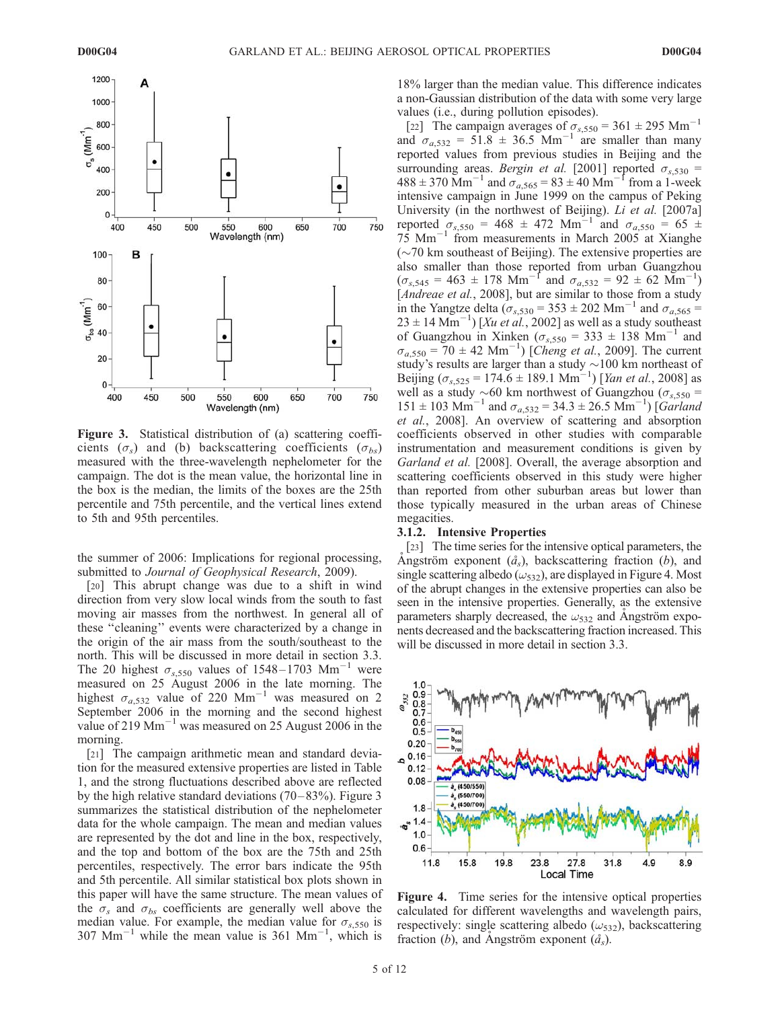

Figure 3. Statistical distribution of (a) scattering coefficients ( $\sigma_s$ ) and (b) backscattering coefficients ( $\sigma_{bs}$ ) measured with the three-wavelength nephelometer for the campaign. The dot is the mean value, the horizontal line in the box is the median, the limits of the boxes are the 25th percentile and 75th percentile, and the vertical lines extend to 5th and 95th percentiles.

the summer of 2006: Implications for regional processing, submitted to Journal of Geophysical Research, 2009).

[20] This abrupt change was due to a shift in wind direction from very slow local winds from the south to fast moving air masses from the northwest. In general all of these ''cleaning'' events were characterized by a change in the origin of the air mass from the south/southeast to the north. This will be discussed in more detail in section 3.3. The 20 highest  $\sigma_{s,550}$  values of 1548–1703 Mm<sup>-1</sup> were measured on 25 August 2006 in the late morning. The highest  $\sigma_{a,532}$  value of 220 Mm<sup>-1</sup> was measured on 2 September 2006 in the morning and the second highest value of 219  $\text{Mm}^{-1}$  was measured on 25 August 2006 in the morning.

[21] The campaign arithmetic mean and standard deviation for the measured extensive properties are listed in Table 1, and the strong fluctuations described above are reflected by the high relative standard deviations  $(70-83%)$ . Figure 3 summarizes the statistical distribution of the nephelometer data for the whole campaign. The mean and median values are represented by the dot and line in the box, respectively, and the top and bottom of the box are the 75th and 25th percentiles, respectively. The error bars indicate the 95th and 5th percentile. All similar statistical box plots shown in this paper will have the same structure. The mean values of the  $\sigma_s$  and  $\sigma_{bs}$  coefficients are generally well above the median value. For example, the median value for  $\sigma_{s,550}$  is  $307 \text{ Mm}^{-1}$  while the mean value is  $361 \text{ Mm}^{-1}$ , which is

18% larger than the median value. This difference indicates a non-Gaussian distribution of the data with some very large values (i.e., during pollution episodes).

[22] The campaign averages of  $\sigma_{s,550} = 361 \pm 295$  Mm<sup>-1</sup> and  $\sigma_{a,532} = 51.8 \pm 36.5$  Mm<sup>-1</sup> are smaller than many reported values from previous studies in Beijing and the surrounding areas. *Bergin et al.* [2001] reported  $\sigma_{s,530}$  =  $488 \pm 370$  Mm<sup>-1</sup> and  $\sigma_{a,565} = 83 \pm 40$  Mm<sup>-1</sup> from a 1-week intensive campaign in June 1999 on the campus of Peking University (in the northwest of Beijing). Li et al. [2007a] reported  $\sigma_{s,550} = 468 \pm 472$  Mm<sup>-1</sup> and  $\sigma_{a,550} = 65 \pm 1$ 75 Mm-1 from measurements in March 2005 at Xianghe  $(\sim 70 \text{ km}$  southeast of Beijing). The extensive properties are also smaller than those reported from urban Guangzhou  $(\sigma_{s,545} = 463 \pm 178 \text{ Mm}^{-1} \text{ and } \sigma_{a,532} = 92 \pm 62 \text{ Mm}^{-1})$ [Andreae et al., 2008], but are similar to those from a study in the Yangtze delta  $\sigma_{s,530} = 353 \pm 202$  Mm<sup>-1</sup> and  $\sigma_{a,565} =$  $23 \pm 14$  Mm<sup>-1</sup>) [Xu et al., 2002] as well as a study southeast of Guangzhou in Xinken ( $\sigma_{s,550} = 333 \pm 138$  Mm<sup>-1</sup> and  $\sigma_{a,550} = 70 \pm 42$  Mm<sup>-1</sup>) [*Cheng et al.*, 2009]. The current study's results are larger than a study  $\sim 100$  km northeast of Beijing ( $\sigma_{s,525} = 174.6 \pm 189.1 \text{ Mm}^{-1}$ ) [*Yan et al.*, 2008] as well as a study  $\sim 60$  km northwest of Guangzhou ( $\sigma_{s,550}$  =  $151 \pm 103$  Mm<sup>-1</sup> and  $\sigma_{a,532} = 34.3 \pm 26.5$  Mm<sup>-1</sup>) [*Garland* et al., 2008]. An overview of scattering and absorption coefficients observed in other studies with comparable instrumentation and measurement conditions is given by Garland et al. [2008]. Overall, the average absorption and scattering coefficients observed in this study were higher than reported from other suburban areas but lower than those typically measured in the urban areas of Chinese megacities.

#### 3.1.2. Intensive Properties

[23] The time series for the intensive optical parameters, the Ångström exponent  $(\hat{a}_s)$ , backscattering fraction (b), and single scattering albedo ( $\omega_{532}$ ), are displayed in Figure 4. Most of the abrupt changes in the extensive properties can also be seen in the intensive properties. Generally, as the extensive parameters sharply decreased, the  $\omega_{532}$  and Angström exponents decreased and the backscattering fraction increased. This will be discussed in more detail in section 3.3.



Figure 4. Time series for the intensive optical properties calculated for different wavelengths and wavelength pairs, respectively: single scattering albedo  $(\omega_{532})$ , backscattering fraction (b), and Angström exponent  $(\hat{a}_s)$ .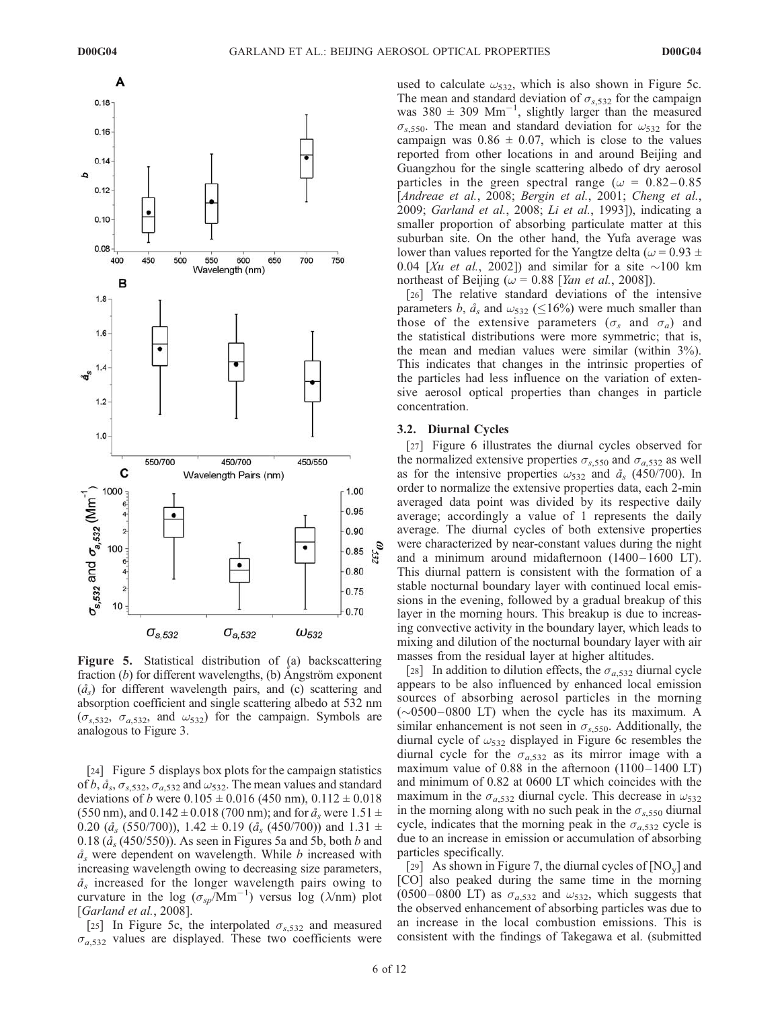

Figure 5. Statistical distribution of (a) backscattering fraction  $(b)$  for different wavelengths,  $(b)$  Angström exponent  $(\hat{a}_s)$  for different wavelength pairs, and (c) scattering and absorption coefficient and single scattering albedo at 532 nm  $(\sigma_{s,532}, \sigma_{a,532}, \sigma_{a,532})$  for the campaign. Symbols are analogous to Figure 3.

[24] Figure 5 displays box plots for the campaign statistics of  $b$ ,  $\hat{a}_s$ ,  $\sigma_{s,532}$ ,  $\sigma_{a,532}$  and  $\omega_{532}$ . The mean values and standard deviations of *b* were  $0.105 \pm 0.016$  (450 nm),  $0.112 \pm 0.018$ (550 nm), and  $0.142 \pm 0.018$  (700 nm); and for  $\hat{a}_s$  were 1.51  $\pm$ 0.20 ( $\hat{a}_s$  (550/700)), 1.42  $\pm$  0.19 ( $\hat{a}_s$  (450/700)) and 1.31  $\pm$ 0.18 ( $\hat{a}_s$  (450/550)). As seen in Figures 5a and 5b, both b and  $a<sub>s</sub>$  were dependent on wavelength. While b increased with increasing wavelength owing to decreasing size parameters,  $a_{s}$  increased for the longer wavelength pairs owing to curvature in the log  $(\sigma_{sp}/Mm^{-1})$  versus log ( $\lambda$ /nm) plot [*Garland et al.*, 2008].

[25] In Figure 5c, the interpolated  $\sigma_{s,532}$  and measured  $\sigma_{a,532}$  values are displayed. These two coefficients were

used to calculate  $\omega_{532}$ , which is also shown in Figure 5c. The mean and standard deviation of  $\sigma_{s,532}$  for the campaign was  $380 \pm 309$  Mm<sup>-1</sup>, slightly larger than the measured  $\sigma_{s,550}$ . The mean and standard deviation for  $\omega_{532}$  for the campaign was  $0.86 \pm 0.07$ , which is close to the values reported from other locations in and around Beijing and Guangzhou for the single scattering albedo of dry aerosol particles in the green spectral range ( $\omega = 0.82 - 0.85$ ) [Andreae et al., 2008; Bergin et al., 2001; Cheng et al., 2009; Garland et al., 2008; Li et al., 1993]), indicating a smaller proportion of absorbing particulate matter at this suburban site. On the other hand, the Yufa average was lower than values reported for the Yangtze delta ( $\omega$  = 0.93  $\pm$ 0.04 [Xu et al., 2002]) and similar for a site  $\sim$ 100 km northeast of Beijing ( $\omega$  = 0.88 [Yan et al., 2008]).

[26] The relative standard deviations of the intensive parameters b,  $\hat{a}_s$  and  $\omega_{532}$  ( $\leq$ 16%) were much smaller than those of the extensive parameters ( $\sigma_s$  and  $\sigma_a$ ) and the statistical distributions were more symmetric; that is, the mean and median values were similar (within 3%). This indicates that changes in the intrinsic properties of the particles had less influence on the variation of extensive aerosol optical properties than changes in particle concentration.

#### 3.2. Diurnal Cycles

[27] Figure 6 illustrates the diurnal cycles observed for the normalized extensive properties  $\sigma_{s,550}$  and  $\sigma_{a,532}$  as well as for the intensive properties  $\omega_{532}$  and  $\mathring{a}_s$  (450/700). In order to normalize the extensive properties data, each 2-min averaged data point was divided by its respective daily average; accordingly a value of 1 represents the daily average. The diurnal cycles of both extensive properties were characterized by near-constant values during the night and a minimum around midafternoon  $(1400 - 1600 \text{ LT})$ . This diurnal pattern is consistent with the formation of a stable nocturnal boundary layer with continued local emissions in the evening, followed by a gradual breakup of this layer in the morning hours. This breakup is due to increasing convective activity in the boundary layer, which leads to mixing and dilution of the nocturnal boundary layer with air masses from the residual layer at higher altitudes.

[28] In addition to dilution effects, the  $\sigma_{a,532}$  diurnal cycle appears to be also influenced by enhanced local emission sources of absorbing aerosol particles in the morning  $(\sim 0500 - 0800$  LT) when the cycle has its maximum. A similar enhancement is not seen in  $\sigma_{s,550}$ . Additionally, the diurnal cycle of  $\omega_{532}$  displayed in Figure 6c resembles the diurnal cycle for the  $\sigma_{a,532}$  as its mirror image with a maximum value of  $0.88$  in the afternoon  $(1100 - 1400 \text{ LT})$ and minimum of 0.82 at 0600 LT which coincides with the maximum in the  $\sigma_{a,532}$  diurnal cycle. This decrease in  $\omega_{532}$ in the morning along with no such peak in the  $\sigma_{s,550}$  diurnal cycle, indicates that the morning peak in the  $\sigma_{a,532}$  cycle is due to an increase in emission or accumulation of absorbing particles specifically.

[29] As shown in Figure 7, the diurnal cycles of  $[NO_y]$  and [CO] also peaked during the same time in the morning (0500–0800 LT) as  $\sigma_{a,532}$  and  $\omega_{532}$ , which suggests that the observed enhancement of absorbing particles was due to an increase in the local combustion emissions. This is consistent with the findings of Takegawa et al. (submitted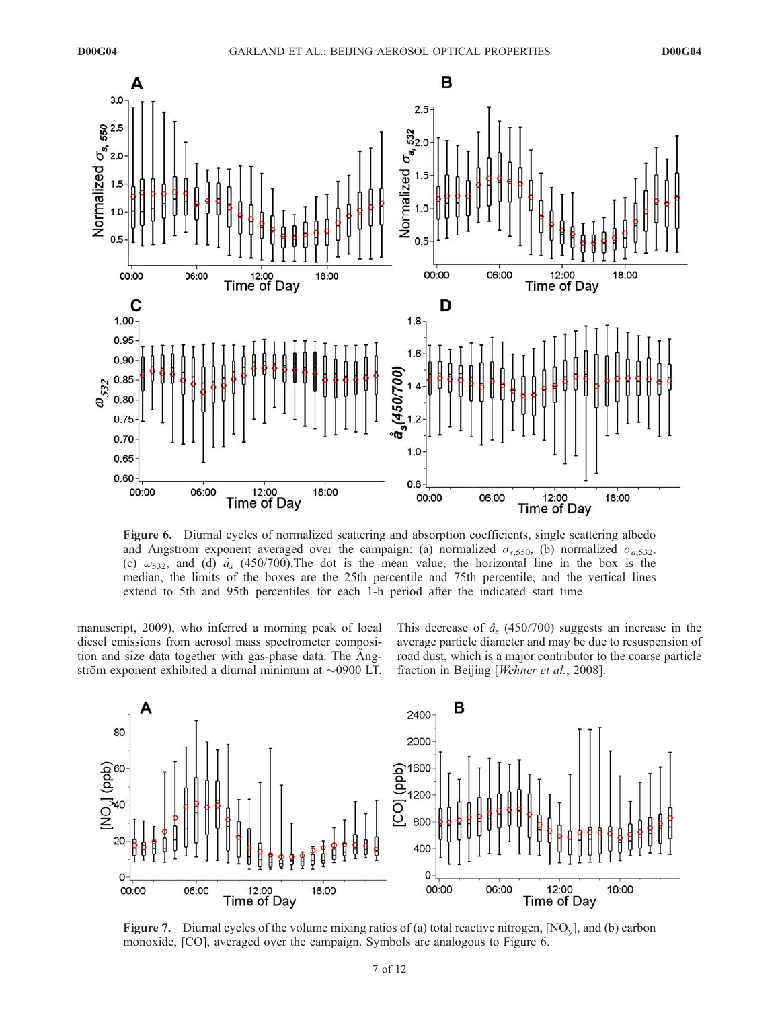

Figure 6. Diurnal cycles of normalized scattering and absorption coefficients, single scattering albedo and Angstrom exponent averaged over the campaign: (a) normalized  $\sigma_{s,550}$ , (b) normalized  $\sigma_{a,532}$ , (c)  $\omega_{532}$ , and (d)  $\hat{a}_{s}$  (450/700). The dot is the mean value, the horizontal line in the box is the median, the limits of the boxes are the 25th percentile and 75th percentile, and the vertical lines extend to 5th and 95th percentiles for each 1-h period after the indicated start time.

manuscript, 2009), who inferred a morning peak of local diesel emissions from aerosol mass spectrometer composition and size data together with gas-phase data. The Angström exponent exhibited a diurnal minimum at  $\sim$ 0900 LT.

This decrease of  $\hat{a}_s$  (450/700) suggests an increase in the average particle diameter and may be due to resuspension of road dust, which is a major contributor to the coarse particle fraction in Beijing [Wehner et al., 2008].



**Figure 7.** Diurnal cycles of the volume mixing ratios of (a) total reactive nitrogen,  $[NO_y]$ , and (b) carbon monoxide, [CO], averaged over the campaign. Symbols are analogous to Figure 6.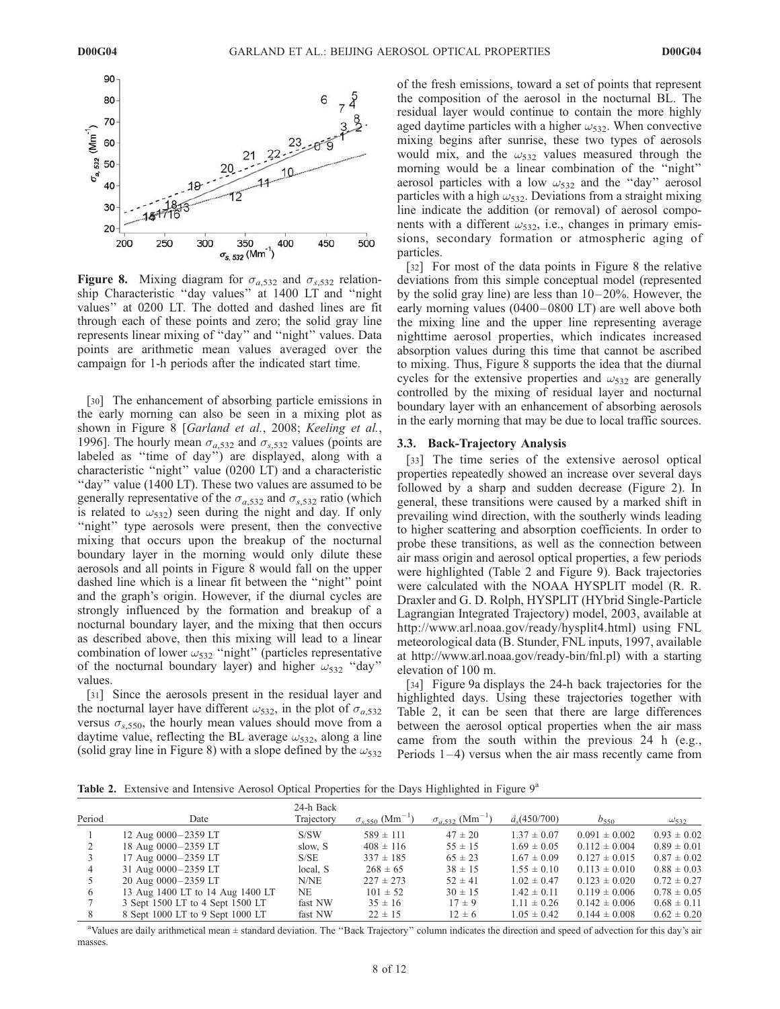

Figure 8. Mixing diagram for  $\sigma_{a,532}$  and  $\sigma_{s,532}$  relationship Characteristic ''day values'' at 1400 LT and ''night values'' at 0200 LT. The dotted and dashed lines are fit through each of these points and zero; the solid gray line represents linear mixing of ''day'' and ''night'' values. Data points are arithmetic mean values averaged over the campaign for 1-h periods after the indicated start time.

[30] The enhancement of absorbing particle emissions in the early morning can also be seen in a mixing plot as shown in Figure 8 [Garland et al., 2008; Keeling et al., 1996]. The hourly mean  $\sigma_{a,532}$  and  $\sigma_{s,532}$  values (points are labeled as ''time of day'') are displayed, along with a characteristic ''night'' value (0200 LT) and a characteristic "day" value (1400 LT). These two values are assumed to be generally representative of the  $\sigma_{a,532}$  and  $\sigma_{s,532}$  ratio (which is related to  $\omega_{532}$ ) seen during the night and day. If only "night" type aerosols were present, then the convective mixing that occurs upon the breakup of the nocturnal boundary layer in the morning would only dilute these aerosols and all points in Figure 8 would fall on the upper dashed line which is a linear fit between the ''night'' point and the graph's origin. However, if the diurnal cycles are strongly influenced by the formation and breakup of a nocturnal boundary layer, and the mixing that then occurs as described above, then this mixing will lead to a linear combination of lower  $\omega_{532}$  "night" (particles representative of the nocturnal boundary layer) and higher  $\omega_{532}$  "day" values.

[31] Since the aerosols present in the residual layer and the nocturnal layer have different  $\omega_{532}$ , in the plot of  $\sigma_{a,532}$ versus  $\sigma_{s,550}$ , the hourly mean values should move from a daytime value, reflecting the BL average  $\omega_{532}$ , along a line (solid gray line in Figure 8) with a slope defined by the  $\omega_{532}$ 

of the fresh emissions, toward a set of points that represent the composition of the aerosol in the nocturnal BL. The residual layer would continue to contain the more highly aged daytime particles with a higher  $\omega_{532}$ . When convective mixing begins after sunrise, these two types of aerosols would mix, and the  $\omega_{532}$  values measured through the morning would be a linear combination of the ''night'' aerosol particles with a low  $\omega_{532}$  and the "day" aerosol particles with a high  $\omega_{532}$ . Deviations from a straight mixing line indicate the addition (or removal) of aerosol components with a different  $\omega_{532}$ , i.e., changes in primary emissions, secondary formation or atmospheric aging of particles.

[32] For most of the data points in Figure 8 the relative deviations from this simple conceptual model (represented by the solid gray line) are less than  $10-20\%$ . However, the early morning values (0400–0800 LT) are well above both the mixing line and the upper line representing average nighttime aerosol properties, which indicates increased absorption values during this time that cannot be ascribed to mixing. Thus, Figure 8 supports the idea that the diurnal cycles for the extensive properties and  $\omega_{532}$  are generally controlled by the mixing of residual layer and nocturnal boundary layer with an enhancement of absorbing aerosols in the early morning that may be due to local traffic sources.

#### 3.3. Back-Trajectory Analysis

[33] The time series of the extensive aerosol optical properties repeatedly showed an increase over several days followed by a sharp and sudden decrease (Figure 2). In general, these transitions were caused by a marked shift in prevailing wind direction, with the southerly winds leading to higher scattering and absorption coefficients. In order to probe these transitions, as well as the connection between air mass origin and aerosol optical properties, a few periods were highlighted (Table 2 and Figure 9). Back trajectories were calculated with the NOAA HYSPLIT model (R. R. Draxler and G. D. Rolph, HYSPLIT (HYbrid Single-Particle Lagrangian Integrated Trajectory) model, 2003, available at http://www.arl.noaa.gov/ready/hysplit4.html) using FNL meteorological data (B. Stunder, FNL inputs, 1997, available at http://www.arl.noaa.gov/ready-bin/fnl.pl) with a starting elevation of 100 m.

[34] Figure 9a displays the 24-h back trajectories for the highlighted days. Using these trajectories together with Table 2, it can be seen that there are large differences between the aerosol optical properties when the air mass came from the south within the previous 24 h (e.g., Periods  $1-4$ ) versus when the air mass recently came from

**Table 2.** Extensive and Intensive Aerosol Optical Properties for the Days Highlighted in Figure  $9^a$ 

| Period | Date                             | 24-h Back<br>Trajectory | $\sigma_{s,550}$ (Mm <sup>-1</sup> ) | $\sigma_{a,532}$ (Mm <sup>-1</sup> ) | $\hat{a}_{s}(450/700)$ | $b_{550}$         | $\omega_{532}$  |
|--------|----------------------------------|-------------------------|--------------------------------------|--------------------------------------|------------------------|-------------------|-----------------|
|        | 12 Aug 0000-2359 LT              | S/SW                    | $589 \pm 111$                        | $47 \pm 20$                          | $1.37 \pm 0.07$        | $0.091 \pm 0.002$ | $0.93 \pm 0.02$ |
|        | 18 Aug 0000-2359 LT              | slow, S                 | $408 \pm 116$                        | $55 \pm 15$                          | $1.69 \pm 0.05$        | $0.112 \pm 0.004$ | $0.89 \pm 0.01$ |
|        | 17 Aug 0000-2359 LT              | S/SE                    | $337 \pm 185$                        | $65 \pm 23$                          | $1.67 \pm 0.09$        | $0.127 \pm 0.015$ | $0.87 \pm 0.02$ |
|        | 31 Aug 0000-2359 LT              | local, S                | $268 \pm 65$                         | $38 \pm 15$                          | $1.55 \pm 0.10$        | $0.113 \pm 0.010$ | $0.88 \pm 0.03$ |
|        | 20 Aug 0000-2359 LT              | N/NE                    | $227 \pm 273$                        | $52 \pm 41$                          | $1.02 \pm 0.47$        | $0.123 \pm 0.020$ | $0.72 \pm 0.27$ |
| 6      | 13 Aug 1400 LT to 14 Aug 1400 LT | NE                      | $101 \pm 52$                         | $30 \pm 15$                          | $1.42 \pm 0.11$        | $0.119 \pm 0.006$ | $0.78 \pm 0.05$ |
|        | 3 Sept 1500 LT to 4 Sept 1500 LT | fast NW                 | $35 \pm 16$                          | $17 \pm 9$                           | $1.11 \pm 0.26$        | $0.142 \pm 0.006$ | $0.68 \pm 0.11$ |
| 8      | 8 Sept 1000 LT to 9 Sept 1000 LT | fast NW                 | $22 \pm 15$                          | $12 \pm 6$                           | $1.05 \pm 0.42$        | $0.144 \pm 0.008$ | $0.62 \pm 0.20$ |

<sup>a</sup>Values are daily arithmetical mean ± standard deviation. The ''Back Trajectory'' column indicates the direction and speed of advection for this day's air masses.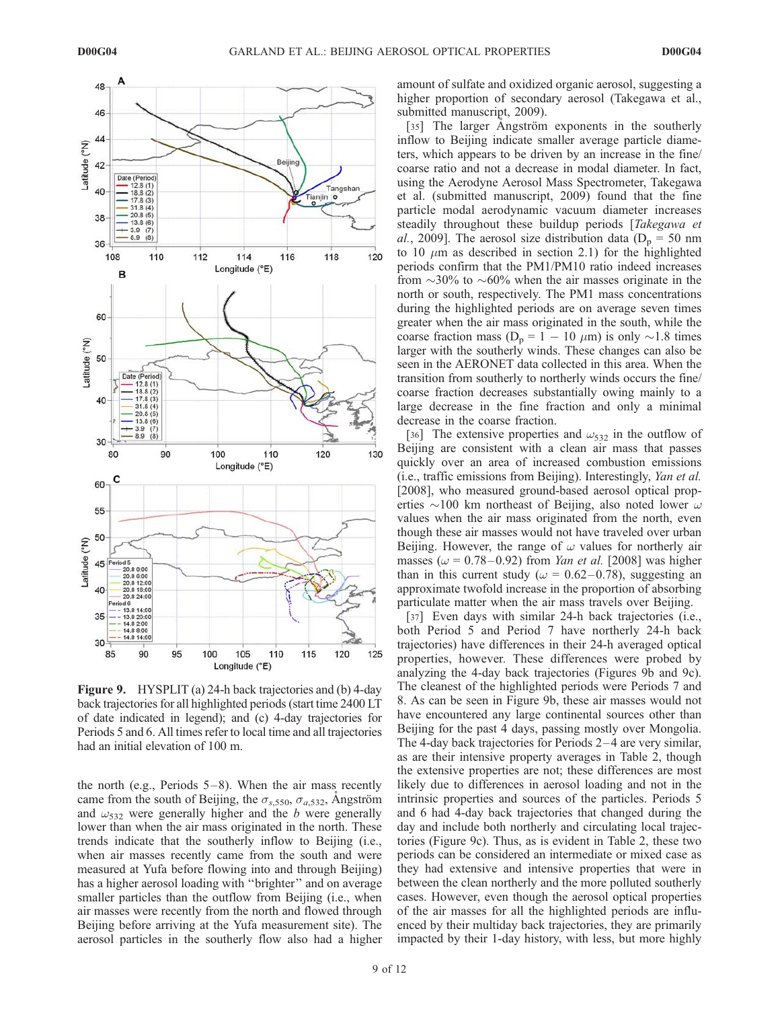

Figure 9. HYSPLIT (a) 24-h back trajectories and (b) 4-day back trajectories for all highlighted periods (start time 2400 LT of date indicated in legend); and (c) 4-day trajectories for Periods 5 and 6. All times refer to local time and all trajectories had an initial elevation of 100 m.

the north (e.g., Periods  $5-8$ ). When the air mass recently came from the south of Beijing, the  $\sigma_{s,550}$ ,  $\sigma_{a,532}$ , Angström and  $\omega_{532}$  were generally higher and the b were generally lower than when the air mass originated in the north. These trends indicate that the southerly inflow to Beijing (i.e., when air masses recently came from the south and were measured at Yufa before flowing into and through Beijing) has a higher aerosol loading with ''brighter'' and on average smaller particles than the outflow from Beijing (i.e., when air masses were recently from the north and flowed through Beijing before arriving at the Yufa measurement site). The aerosol particles in the southerly flow also had a higher amount of sulfate and oxidized organic aerosol, suggesting a higher proportion of secondary aerosol (Takegawa et al., submitted manuscript, 2009).

[35] The larger Angström exponents in the southerly inflow to Beijing indicate smaller average particle diameters, which appears to be driven by an increase in the fine/ coarse ratio and not a decrease in modal diameter. In fact, using the Aerodyne Aerosol Mass Spectrometer, Takegawa et al. (submitted manuscript, 2009) found that the fine particle modal aerodynamic vacuum diameter increases steadily throughout these buildup periods [Takegawa et al., 2009]. The aerosol size distribution data ( $D_p = 50$  nm to 10  $\mu$ m as described in section 2.1) for the highlighted periods confirm that the PM1/PM10 ratio indeed increases from  $\sim$ 30% to  $\sim$ 60% when the air masses originate in the north or south, respectively. The PM1 mass concentrations during the highlighted periods are on average seven times greater when the air mass originated in the south, while the coarse fraction mass  $(D_p = 1 - 10 \mu m)$  is only  $\sim 1.8$  times larger with the southerly winds. These changes can also be seen in the AERONET data collected in this area. When the transition from southerly to northerly winds occurs the fine/ coarse fraction decreases substantially owing mainly to a large decrease in the fine fraction and only a minimal decrease in the coarse fraction.

[36] The extensive properties and  $\omega_{532}$  in the outflow of Beijing are consistent with a clean air mass that passes quickly over an area of increased combustion emissions (i.e., traffic emissions from Beijing). Interestingly, Yan et al. [2008], who measured ground-based aerosol optical properties  $\sim$ 100 km northeast of Beijing, also noted lower  $\omega$ values when the air mass originated from the north, even though these air masses would not have traveled over urban Beijing. However, the range of  $\omega$  values for northerly air masses ( $\omega$  = 0.78–0.92) from *Yan et al.* [2008] was higher than in this current study ( $\omega = 0.62 - 0.78$ ), suggesting an approximate twofold increase in the proportion of absorbing particulate matter when the air mass travels over Beijing.

[37] Even days with similar 24-h back trajectories (i.e., both Period 5 and Period 7 have northerly 24-h back trajectories) have differences in their 24-h averaged optical properties, however. These differences were probed by analyzing the 4-day back trajectories (Figures 9b and 9c). The cleanest of the highlighted periods were Periods 7 and 8. As can be seen in Figure 9b, these air masses would not have encountered any large continental sources other than Beijing for the past 4 days, passing mostly over Mongolia. The 4-day back trajectories for Periods 2–4 are very similar, as are their intensive property averages in Table 2, though the extensive properties are not; these differences are most likely due to differences in aerosol loading and not in the intrinsic properties and sources of the particles. Periods 5 and 6 had 4-day back trajectories that changed during the day and include both northerly and circulating local trajectories (Figure 9c). Thus, as is evident in Table 2, these two periods can be considered an intermediate or mixed case as they had extensive and intensive properties that were in between the clean northerly and the more polluted southerly cases. However, even though the aerosol optical properties of the air masses for all the highlighted periods are influenced by their multiday back trajectories, they are primarily impacted by their 1-day history, with less, but more highly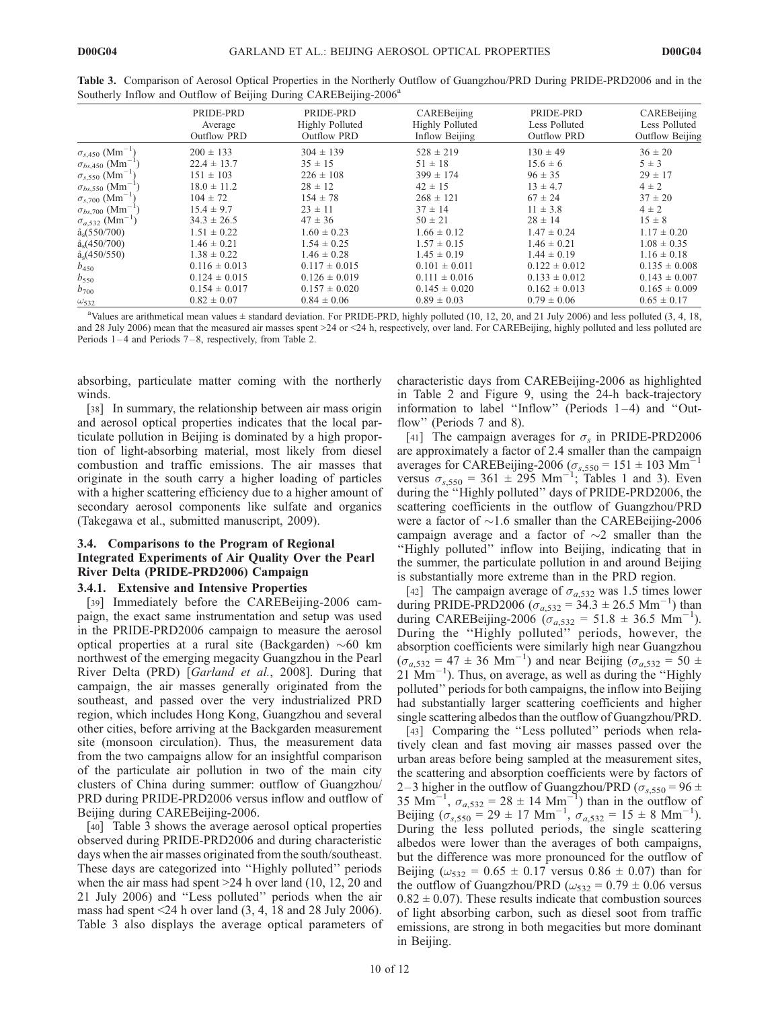| $\tilde{\phantom{a}}$                 | $\overline{\phantom{0}}$                   | $\overline{ }$<br>$\overline{\phantom{a}}$                |                                                         |                                                  |                                                 |
|---------------------------------------|--------------------------------------------|-----------------------------------------------------------|---------------------------------------------------------|--------------------------------------------------|-------------------------------------------------|
|                                       | PRIDE-PRD<br>Average<br><b>Outflow PRD</b> | PRIDE-PRD<br><b>Highly Polluted</b><br><b>Outflow PRD</b> | CAREBeijing<br><b>Highly Polluted</b><br>Inflow Beijing | PRIDE-PRD<br>Less Polluted<br><b>Outflow PRD</b> | CAREBeijing<br>Less Polluted<br>Outflow Beijing |
| $\sigma_{s,450}$ (Mm <sup>-1</sup> )  | $200 \pm 133$                              | $304 \pm 139$                                             | $528 \pm 219$                                           | $130 \pm 49$                                     | $36 \pm 20$                                     |
| $\sigma_{bs,450}$ (Mm <sup>-1</sup> ) | $22.4 \pm 13.7$                            | $35 \pm 15$                                               | $51 \pm 18$                                             | $15.6 \pm 6$                                     | $5 \pm 3$                                       |
| $\sigma_{s,550}$ (Mm <sup>-1</sup> )  | $151 \pm 103$                              | $226 \pm 108$                                             | $399 \pm 174$                                           | $96 \pm 35$                                      | $29 \pm 17$                                     |
| $\sigma_{bs,550}$ (Mm <sup>-1</sup> ) | $18.0 \pm 11.2$                            | $28 \pm 12$                                               | $42 \pm 15$                                             | $13 \pm 4.7$                                     | $4 \pm 2$                                       |
| $\sigma_{s,700}$ (Mm <sup>-1</sup> )  | $104 \pm 72$                               | $154 \pm 78$                                              | $268 \pm 121$                                           | $67 \pm 24$                                      | $37 \pm 20$                                     |
| $\sigma_{bs,700}$ (Mm <sup>-1</sup> ) | $15.4 \pm 9.7$                             | $23 \pm 11$                                               | $37 \pm 14$                                             | $11 \pm 3.8$                                     | $4 \pm 2$                                       |
| $\sigma_{a,532}$ (Mm <sup>-1</sup> )  | $34.3 \pm 26.5$                            | $47 \pm 36$                                               | $50 \pm 21$                                             | $28 \pm 14$                                      | $15 \pm 8$                                      |
| $\hat{a}_s(550/700)$                  | $1.51 \pm 0.22$                            | $1.60 \pm 0.23$                                           | $1.66 \pm 0.12$                                         | $1.47 \pm 0.24$                                  | $1.17 \pm 0.20$                                 |
| $\hat{a}_s$ (450/700)                 | $1.46 \pm 0.21$                            | $1.54 \pm 0.25$                                           | $1.57 \pm 0.15$                                         | $1.46 \pm 0.21$                                  | $1.08 \pm 0.35$                                 |
| $\hat{a}_s$ (450/550)                 | $1.38 \pm 0.22$                            | $1.46 \pm 0.28$                                           | $1.45 \pm 0.19$                                         | $1.44 \pm 0.19$                                  | $1.16 \pm 0.18$                                 |
| $b_{450}$                             | $0.116 \pm 0.013$                          | $0.117 \pm 0.015$                                         | $0.101 \pm 0.011$                                       | $0.122 \pm 0.012$                                | $0.135 \pm 0.008$                               |
| $b_{550}$                             | $0.124 \pm 0.015$                          | $0.126 \pm 0.019$                                         | $0.111 \pm 0.016$                                       | $0.133 \pm 0.012$                                | $0.143 \pm 0.007$                               |
| $b_{700}$                             | $0.154 \pm 0.017$                          | $0.157 \pm 0.020$                                         | $0.145 \pm 0.020$                                       | $0.162 \pm 0.013$                                | $0.165 \pm 0.009$                               |
| $\omega_{532}$                        | $0.82 \pm 0.07$                            | $0.84 \pm 0.06$                                           | $0.89 \pm 0.03$                                         | $0.79 \pm 0.06$                                  | $0.65 \pm 0.17$                                 |

Table 3. Comparison of Aerosol Optical Properties in the Northerly Outflow of Guangzhou/PRD During PRIDE-PRD2006 and in the Southerly Inflow and Outflow of Beijing During CAREBeijing-2006<sup>a</sup>

absorbing, particulate matter coming with the northerly winds.

[38] In summary, the relationship between air mass origin and aerosol optical properties indicates that the local particulate pollution in Beijing is dominated by a high proportion of light-absorbing material, most likely from diesel combustion and traffic emissions. The air masses that originate in the south carry a higher loading of particles with a higher scattering efficiency due to a higher amount of secondary aerosol components like sulfate and organics (Takegawa et al., submitted manuscript, 2009).

# 3.4. Comparisons to the Program of Regional Integrated Experiments of Air Quality Over the Pearl River Delta (PRIDE-PRD2006) Campaign

### 3.4.1. Extensive and Intensive Properties

[39] Immediately before the CAREBeijing-2006 campaign, the exact same instrumentation and setup was used in the PRIDE-PRD2006 campaign to measure the aerosol optical properties at a rural site (Backgarden)  $\sim 60$  km northwest of the emerging megacity Guangzhou in the Pearl River Delta (PRD) [Garland et al., 2008]. During that campaign, the air masses generally originated from the southeast, and passed over the very industrialized PRD region, which includes Hong Kong, Guangzhou and several other cities, before arriving at the Backgarden measurement site (monsoon circulation). Thus, the measurement data from the two campaigns allow for an insightful comparison of the particulate air pollution in two of the main city clusters of China during summer: outflow of Guangzhou/ PRD during PRIDE-PRD2006 versus inflow and outflow of Beijing during CAREBeijing-2006.

[40] Table 3 shows the average aerosol optical properties observed during PRIDE-PRD2006 and during characteristic days when the air masses originated from the south/southeast. These days are categorized into ''Highly polluted'' periods when the air mass had spent >24 h over land (10, 12, 20 and 21 July 2006) and ''Less polluted'' periods when the air mass had spent  $\leq$ 24 h over land (3, 4, 18 and 28 July 2006). Table 3 also displays the average optical parameters of characteristic days from CAREBeijing-2006 as highlighted in Table 2 and Figure 9, using the 24-h back-trajectory information to label ''Inflow'' (Periods 1 –4) and ''Outflow" (Periods 7 and 8).

[41] The campaign averages for  $\sigma_s$  in PRIDE-PRD2006 are approximately a factor of 2.4 smaller than the campaign averages for CAREBeijing-2006 ( $\sigma_{s,550}$  = 151 ± 103 Mm<sup>-1</sup> versus  $\sigma_{s,550} = 361 \pm 295$  Mm<sup>-1</sup>; Tables 1 and 3). Even during the ''Highly polluted'' days of PRIDE-PRD2006, the scattering coefficients in the outflow of Guangzhou/PRD were a factor of  $\sim$ 1.6 smaller than the CAREBeijing-2006 campaign average and a factor of  $\sim$ 2 smaller than the ''Highly polluted'' inflow into Beijing, indicating that in the summer, the particulate pollution in and around Beijing is substantially more extreme than in the PRD region.

[42] The campaign average of  $\sigma_{a,532}$  was 1.5 times lower during PRIDE-PRD2006 ( $\sigma_{a,532} = 34.3 \pm 26.5$  Mm<sup>-1</sup>) than during CAREBeijing-2006 ( $\sigma_{a,532} = 51.8 \pm 36.5 \text{ Mm}^{-1}$ ). During the ''Highly polluted'' periods, however, the absorption coefficients were similarly high near Guangzhou  $(\sigma_{a,532} = 47 \pm 36 \text{ Mm}^{-1})$  and near Beijing  $(\sigma_{a,532} = 50 \pm 1)$  $21 \text{ Mm}^{-1}$ ). Thus, on average, as well as during the "Highly polluted'' periods for both campaigns, the inflow into Beijing had substantially larger scattering coefficients and higher single scattering albedos than the outflow of Guangzhou/PRD.

[43] Comparing the "Less polluted" periods when relatively clean and fast moving air masses passed over the urban areas before being sampled at the measurement sites, the scattering and absorption coefficients were by factors of 2–3 higher in the outflow of Guangzhou/PRD ( $\sigma_{s,550} = 96 \pm$ 35 Mm<sup>-1</sup>,  $\sigma_{a,532} = 28 \pm 14$  Mm<sup>-1</sup>) than in the outflow of Beijing  $(\sigma_{s,550} = 29 \pm 17 \text{ Mm}^{-1}, \sigma_{a,532} = 15 \pm 8 \text{ Mm}^{-1}).$ During the less polluted periods, the single scattering albedos were lower than the averages of both campaigns, but the difference was more pronounced for the outflow of Beijing ( $\omega_{532} = 0.65 \pm 0.17$  versus  $0.86 \pm 0.07$ ) than for the outflow of Guangzhou/PRD ( $\omega_{532} = 0.79 \pm 0.06$  versus  $0.82 \pm 0.07$ ). These results indicate that combustion sources of light absorbing carbon, such as diesel soot from traffic emissions, are strong in both megacities but more dominant in Beijing.

<sup>a</sup>Values are arithmetical mean values ± standard deviation. For PRIDE-PRD, highly polluted (10, 12, 20, and 21 July 2006) and less polluted (3, 4, 18, and 28 July 2006) mean that the measured air masses spent >24 or <24 h, respectively, over land. For CAREBeijing, highly polluted and less polluted are Periods 1–4 and Periods 7–8, respectively, from Table 2.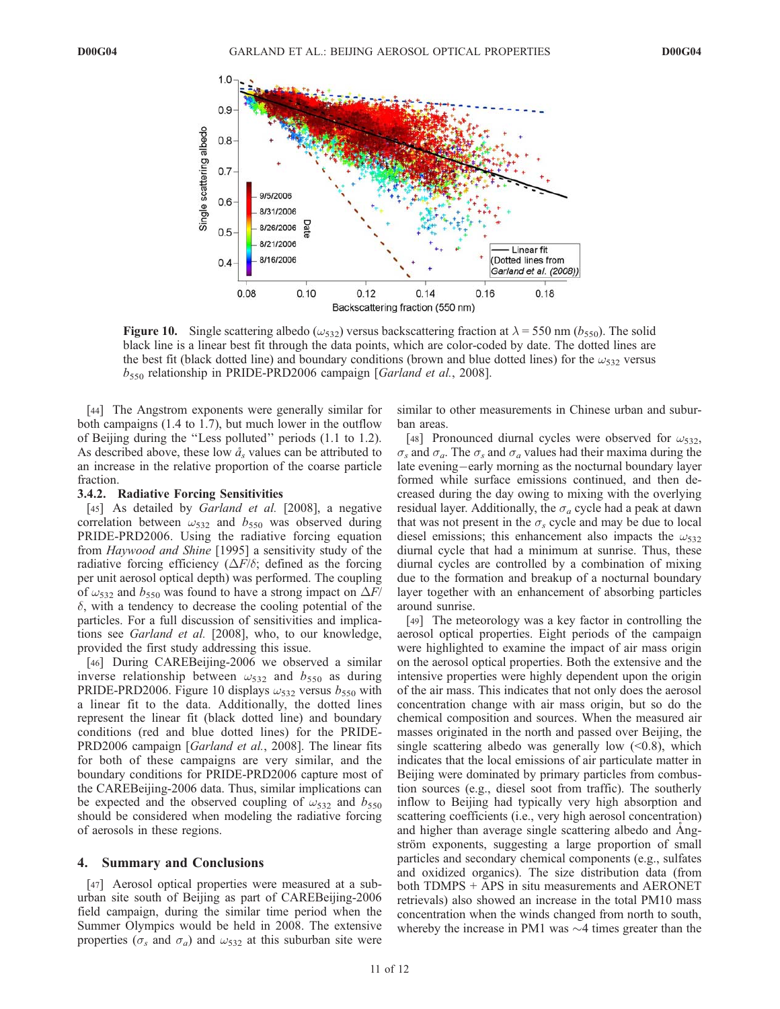

**Figure 10.** Single scattering albedo ( $\omega_{532}$ ) versus backscattering fraction at  $\lambda = 550$  nm ( $b_{550}$ ). The solid black line is a linear best fit through the data points, which are color-coded by date. The dotted lines are the best fit (black dotted line) and boundary conditions (brown and blue dotted lines) for the  $\omega_{532}$  versus  $b_{550}$  relationship in PRIDE-PRD2006 campaign [*Garland et al.*, 2008].

[44] The Angstrom exponents were generally similar for both campaigns (1.4 to 1.7), but much lower in the outflow of Beijing during the ''Less polluted'' periods (1.1 to 1.2). As described above, these low  $\hat{a}_s$  values can be attributed to an increase in the relative proportion of the coarse particle fraction.

#### 3.4.2. Radiative Forcing Sensitivities

[45] As detailed by *Garland et al.* [2008], a negative correlation between  $\omega_{532}$  and  $b_{550}$  was observed during PRIDE-PRD2006. Using the radiative forcing equation from Haywood and Shine [1995] a sensitivity study of the radiative forcing efficiency ( $\Delta F/\delta$ ; defined as the forcing per unit aerosol optical depth) was performed. The coupling of  $\omega_{532}$  and  $b_{550}$  was found to have a strong impact on  $\Delta F$ /  $\delta$ , with a tendency to decrease the cooling potential of the particles. For a full discussion of sensitivities and implications see Garland et al. [2008], who, to our knowledge, provided the first study addressing this issue.

[46] During CAREBeijing-2006 we observed a similar inverse relationship between  $\omega_{532}$  and  $b_{550}$  as during PRIDE-PRD2006. Figure 10 displays  $\omega_{532}$  versus  $b_{550}$  with a linear fit to the data. Additionally, the dotted lines represent the linear fit (black dotted line) and boundary conditions (red and blue dotted lines) for the PRIDE-PRD2006 campaign [Garland et al., 2008]. The linear fits for both of these campaigns are very similar, and the boundary conditions for PRIDE-PRD2006 capture most of the CAREBeijing-2006 data. Thus, similar implications can be expected and the observed coupling of  $\omega_{532}$  and  $b_{550}$ should be considered when modeling the radiative forcing of aerosols in these regions.

#### 4. Summary and Conclusions

[47] Aerosol optical properties were measured at a suburban site south of Beijing as part of CAREBeijing-2006 field campaign, during the similar time period when the Summer Olympics would be held in 2008. The extensive properties ( $\sigma_s$  and  $\sigma_a$ ) and  $\omega_{532}$  at this suburban site were similar to other measurements in Chinese urban and suburban areas.

[48] Pronounced diurnal cycles were observed for  $\omega_{532}$ ,  $\sigma_s$  and  $\sigma_a$ . The  $\sigma_s$  and  $\sigma_a$  values had their maxima during the late evening-early morning as the nocturnal boundary layer formed while surface emissions continued, and then decreased during the day owing to mixing with the overlying residual layer. Additionally, the  $\sigma_a$  cycle had a peak at dawn that was not present in the  $\sigma_s$  cycle and may be due to local diesel emissions; this enhancement also impacts the  $\omega_{532}$ diurnal cycle that had a minimum at sunrise. Thus, these diurnal cycles are controlled by a combination of mixing due to the formation and breakup of a nocturnal boundary layer together with an enhancement of absorbing particles around sunrise.

[49] The meteorology was a key factor in controlling the aerosol optical properties. Eight periods of the campaign were highlighted to examine the impact of air mass origin on the aerosol optical properties. Both the extensive and the intensive properties were highly dependent upon the origin of the air mass. This indicates that not only does the aerosol concentration change with air mass origin, but so do the chemical composition and sources. When the measured air masses originated in the north and passed over Beijing, the single scattering albedo was generally low  $( $0.8$ ), which$ indicates that the local emissions of air particulate matter in Beijing were dominated by primary particles from combustion sources (e.g., diesel soot from traffic). The southerly inflow to Beijing had typically very high absorption and scattering coefficients (i.e., very high aerosol concentration) and higher than average single scattering albedo and Angström exponents, suggesting a large proportion of small particles and secondary chemical components (e.g., sulfates and oxidized organics). The size distribution data (from both TDMPS + APS in situ measurements and AERONET retrievals) also showed an increase in the total PM10 mass concentration when the winds changed from north to south, whereby the increase in PM1 was  $\sim$ 4 times greater than the